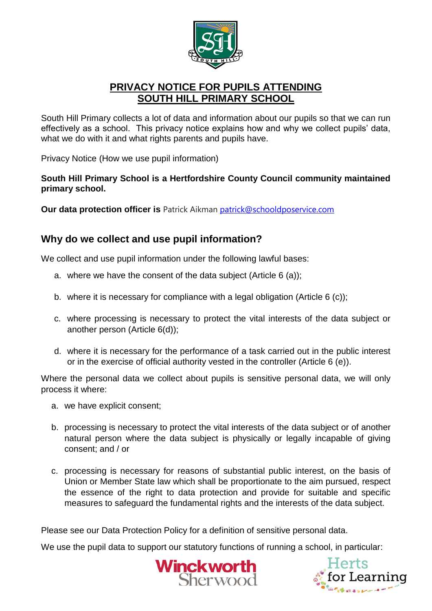

# **PRIVACY NOTICE FOR PUPILS ATTENDING SOUTH HILL PRIMARY SCHOOL**

South Hill Primary collects a lot of data and information about our pupils so that we can run effectively as a school. This privacy notice explains how and why we collect pupils' data, what we do with it and what rights parents and pupils have.

Privacy Notice (How we use pupil information)

**South Hill Primary School is a Hertfordshire County Council community maintained primary school.**

**Our data protection officer is** Patrick Aikman [patrick@schooldposervice.com](mailto:patrick@schooldposervice.com)

## **Why do we collect and use pupil information?**

We collect and use pupil information under the following lawful bases:

- a. where we have the consent of the data subject (Article 6 (a));
- b. where it is necessary for compliance with a legal obligation (Article 6 (c));
- c. where processing is necessary to protect the vital interests of the data subject or another person (Article 6(d));
- d. where it is necessary for the performance of a task carried out in the public interest or in the exercise of official authority vested in the controller (Article 6 (e)).

Where the personal data we collect about pupils is sensitive personal data, we will only process it where:

- a. we have explicit consent;
- b. processing is necessary to protect the vital interests of the data subject or of another natural person where the data subject is physically or legally incapable of giving consent; and / or
- c. processing is necessary for reasons of substantial public interest, on the basis of Union or Member State law which shall be proportionate to the aim pursued, respect the essence of the right to data protection and provide for suitable and specific measures to safeguard the fundamental rights and the interests of the data subject.

Please see our Data Protection Policy for a definition of sensitive personal data.

We use the pupil data to support our statutory functions of running a school, in particular:



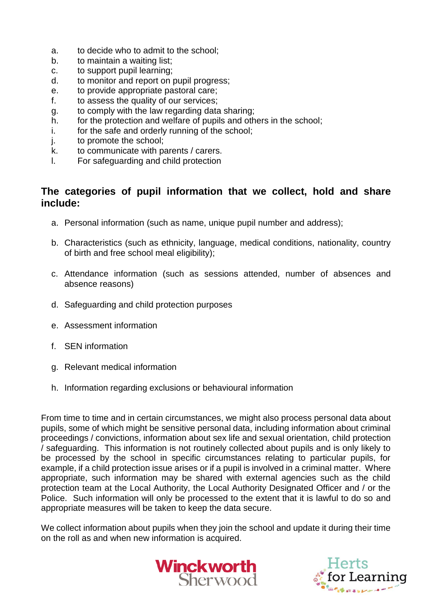- a. to decide who to admit to the school;
- b. to maintain a waiting list:
- c. to support pupil learning;
- d. to monitor and report on pupil progress;
- e. to provide appropriate pastoral care;
- f. to assess the quality of our services;
- g. to comply with the law regarding data sharing;
- h. for the protection and welfare of pupils and others in the school;
- i. for the safe and orderly running of the school;
- j. to promote the school;
- k. to communicate with parents / carers.
- l. For safeguarding and child protection

### **The categories of pupil information that we collect, hold and share include:**

- a. Personal information (such as name, unique pupil number and address);
- b. Characteristics (such as ethnicity, language, medical conditions, nationality, country of birth and free school meal eligibility);
- c. Attendance information (such as sessions attended, number of absences and absence reasons)
- d. Safeguarding and child protection purposes
- e. Assessment information
- f. SEN information
- g. Relevant medical information
- h. Information regarding exclusions or behavioural information

From time to time and in certain circumstances, we might also process personal data about pupils, some of which might be sensitive personal data, including information about criminal proceedings / convictions, information about sex life and sexual orientation, child protection / safeguarding. This information is not routinely collected about pupils and is only likely to be processed by the school in specific circumstances relating to particular pupils, for example, if a child protection issue arises or if a pupil is involved in a criminal matter. Where appropriate, such information may be shared with external agencies such as the child protection team at the Local Authority, the Local Authority Designated Officer and / or the Police. Such information will only be processed to the extent that it is lawful to do so and appropriate measures will be taken to keep the data secure.

We collect information about pupils when they join the school and update it during their time on the roll as and when new information is acquired.



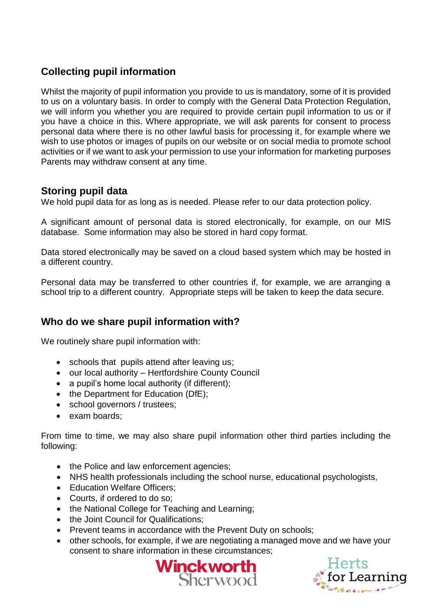# **Collecting pupil information**

Whilst the majority of pupil information you provide to us is mandatory, some of it is provided to us on a voluntary basis. In order to comply with the General Data Protection Regulation, we will inform you whether you are required to provide certain pupil information to us or if you have a choice in this. Where appropriate, we will ask parents for consent to process personal data where there is no other lawful basis for processing it, for example where we wish to use photos or images of pupils on our website or on social media to promote school activities or if we want to ask your permission to use your information for marketing purposes Parents may withdraw consent at any time.

## **Storing pupil data**

We hold pupil data for as long as is needed. Please refer to our data protection policy.

A significant amount of personal data is stored electronically, for example, on our MIS database. Some information may also be stored in hard copy format.

Data stored electronically may be saved on a cloud based system which may be hosted in a different country.

Personal data may be transferred to other countries if, for example, we are arranging a school trip to a different country. Appropriate steps will be taken to keep the data secure.

## **Who do we share pupil information with?**

We routinely share pupil information with:

- schools that pupils attend after leaving us;
- our local authority Hertfordshire County Council
- a pupil's home local authority (if different);
- the Department for Education (DfE);
- school governors / trustees;
- exam boards:

From time to time, we may also share pupil information other third parties including the following:

- the Police and law enforcement agencies;
- NHS health professionals including the school nurse, educational psychologists,
- Education Welfare Officers:
- Courts, if ordered to do so;
- the National College for Teaching and Learning;
- the Joint Council for Qualifications;
- Prevent teams in accordance with the Prevent Duty on schools;
- other schools, for example, if we are negotiating a managed move and we have your consent to share information in these circumstances;



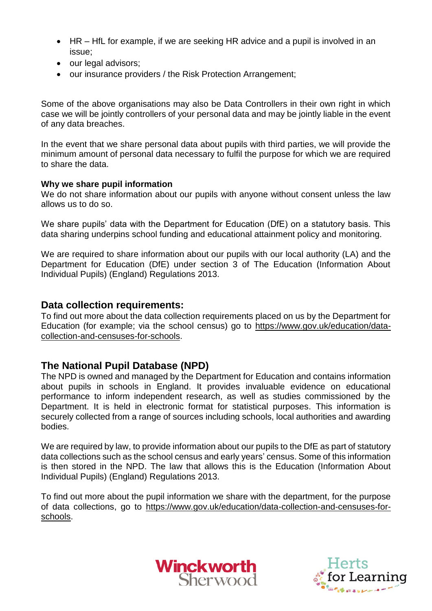- HR HfL for example, if we are seeking HR advice and a pupil is involved in an issue;
- our legal advisors;
- our insurance providers / the Risk Protection Arrangement;

Some of the above organisations may also be Data Controllers in their own right in which case we will be jointly controllers of your personal data and may be jointly liable in the event of any data breaches.

In the event that we share personal data about pupils with third parties, we will provide the minimum amount of personal data necessary to fulfil the purpose for which we are required to share the data.

#### **Why we share pupil information**

We do not share information about our pupils with anyone without consent unless the law allows us to do so.

We share pupils' data with the Department for Education (DfE) on a statutory basis. This data sharing underpins school funding and educational attainment policy and monitoring.

We are required to share information about our pupils with our local authority (LA) and the Department for Education (DfE) under section 3 of The Education (Information About Individual Pupils) (England) Regulations 2013.

### **Data collection requirements:**

To find out more about the data collection requirements placed on us by the Department for Education (for example; via the school census) go to [https://www.gov.uk/education/data](https://www.gov.uk/education/data-collection-and-censuses-for-schools)[collection-and-censuses-for-schools.](https://www.gov.uk/education/data-collection-and-censuses-for-schools)

### **The National Pupil Database (NPD)**

The NPD is owned and managed by the Department for Education and contains information about pupils in schools in England. It provides invaluable evidence on educational performance to inform independent research, as well as studies commissioned by the Department. It is held in electronic format for statistical purposes. This information is securely collected from a range of sources including schools, local authorities and awarding bodies.

We are required by law, to provide information about our pupils to the DfE as part of statutory data collections such as the school census and early years' census. Some of this information is then stored in the NPD. The law that allows this is the Education (Information About Individual Pupils) (England) Regulations 2013.

To find out more about the pupil information we share with the department, for the purpose of data collections, go to [https://www.gov.uk/education/data-collection-and-censuses-for](https://www.gov.uk/education/data-collection-and-censuses-for-schools)[schools.](https://www.gov.uk/education/data-collection-and-censuses-for-schools)



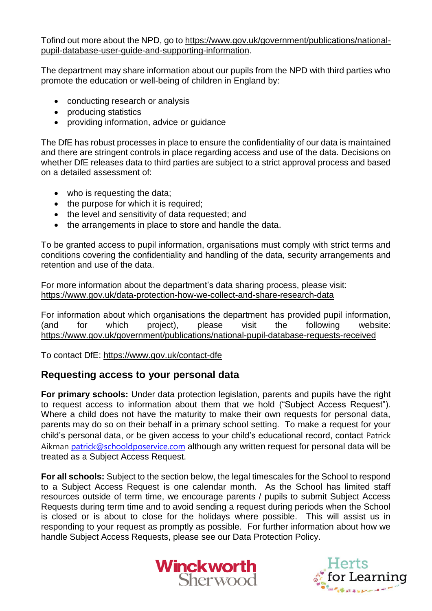Tofind out more about the NPD, go to [https://www.gov.uk/government/publications/national](https://www.gov.uk/government/publications/national-pupil-database-user-guide-and-supporting-information)[pupil-database-user-guide-and-supporting-information.](https://www.gov.uk/government/publications/national-pupil-database-user-guide-and-supporting-information)

The department may share information about our pupils from the NPD with third parties who promote the education or well-being of children in England by:

- conducting research or analysis
- producing statistics
- providing information, advice or guidance

The DfE has robust processes in place to ensure the confidentiality of our data is maintained and there are stringent controls in place regarding access and use of the data. Decisions on whether DfE releases data to third parties are subject to a strict approval process and based on a detailed assessment of:

- who is requesting the data;
- the purpose for which it is required;
- the level and sensitivity of data requested; and
- the arrangements in place to store and handle the data.

To be granted access to pupil information, organisations must comply with strict terms and conditions covering the confidentiality and handling of the data, security arrangements and retention and use of the data.

For more information about the department's data sharing process, please visit: <https://www.gov.uk/data-protection-how-we-collect-and-share-research-data>

For information about which organisations the department has provided pupil information, (and for which project), please visit the following website: <https://www.gov.uk/government/publications/national-pupil-database-requests-received>

To contact DfE:<https://www.gov.uk/contact-dfe>

### **Requesting access to your personal data**

**For primary schools:** Under data protection legislation, parents and pupils have the right to request access to information about them that we hold ("Subject Access Request"). Where a child does not have the maturity to make their own requests for personal data, parents may do so on their behalf in a primary school setting. To make a request for your child's personal data, or be given access to your child's educational record, contact Patrick Aikman [patrick@schooldposervice.com](mailto:patrick@schooldposervice.com) although any written request for personal data will be treated as a Subject Access Request.

**For all schools:** Subject to the section below, the legal timescales for the School to respond to a Subject Access Request is one calendar month. As the School has limited staff resources outside of term time, we encourage parents / pupils to submit Subject Access Requests during term time and to avoid sending a request during periods when the School is closed or is about to close for the holidays where possible. This will assist us in responding to your request as promptly as possible. For further information about how we handle Subject Access Requests, please see our Data Protection Policy.